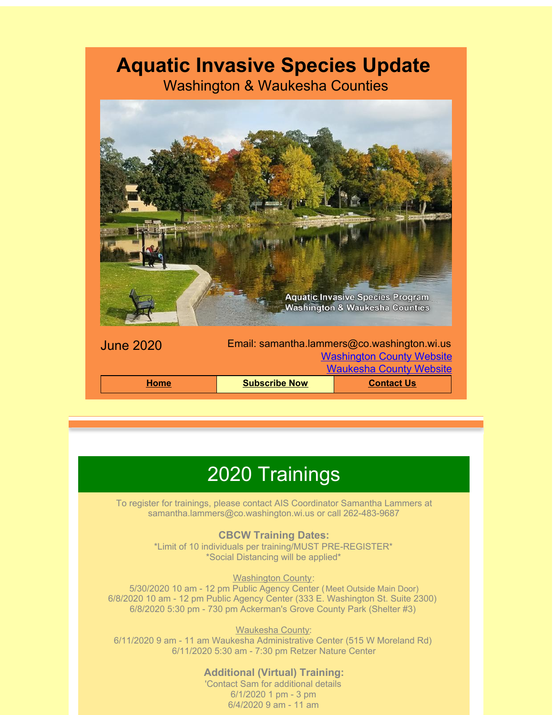# **Aquatic Invasive Species Update**

Washington & Waukesha Counties



## 2020 Trainings

To register for trainings, please contact AIS Coordinator Samantha Lammers at samantha.lammers@co.washington.wi.us or call 262-483-9687

#### **CBCW Training Dates:**

\*Limit of 10 individuals per training/MUST PRE-REGISTER\* \*Social Distancing will be applied\*

#### **Washington County:**

5/30/2020 10 am - 12 pm Public Agency Center (Meet Outside Main Door) 6/8/2020 10 am - 12 pm Public Agency Center (333 E. Washington St. Suite 2300) 6/8/2020 5:30 pm - 730 pm Ackerman's Grove County Park (Shelter #3)

Waukesha County: 6/11/2020 9 am - 11 am Waukesha Administrative Center (515 W Moreland Rd) 6/11/2020 5:30 am - 7:30 pm Retzer Nature Center

#### **Additional (Virtual) Training:**

'Contact Sam for additional details 6/1/2020 1 pm - 3 pm 6/4/2020 9 am - 11 am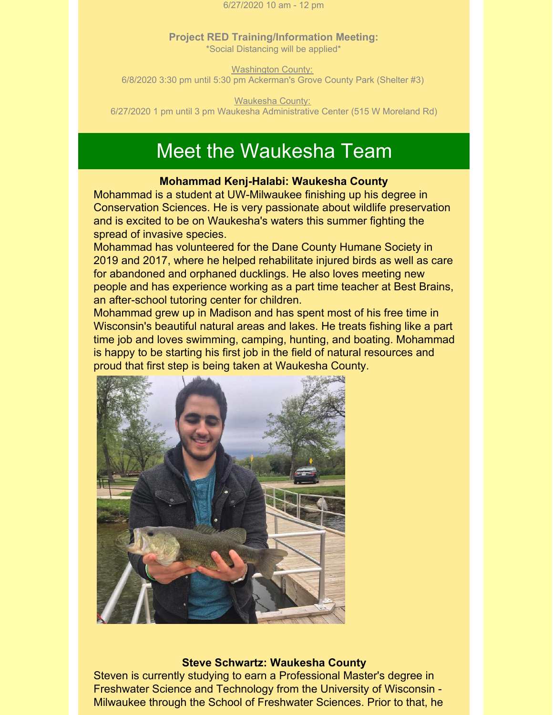6/27/2020 10 am - 12 pm

**Project RED Training/Information Meeting:** \*Social Distancing will be applied\*

**Washington County:** 6/8/2020 3:30 pm until 5:30 pm Ackerman's Grove County Park (Shelter #3)

Waukesha County: 6/27/2020 1 pm until 3 pm Waukesha Administrative Center (515 W Moreland Rd)

### Meet the Waukesha Team

#### **Mohammad Kenj-Halabi: Waukesha County**

Mohammad is a student at UW-Milwaukee finishing up his degree in Conservation Sciences. He is very passionate about wildlife preservation and is excited to be on Waukesha's waters this summer fighting the spread of invasive species.

Mohammad has volunteered for the Dane County Humane Society in 2019 and 2017, where he helped rehabilitate injured birds as well as care for abandoned and orphaned ducklings. He also loves meeting new people and has experience working as a part time teacher at Best Brains, an after-school tutoring center for children.

Mohammad grew up in Madison and has spent most of his free time in Wisconsin's beautiful natural areas and lakes. He treats fishing like a part time job and loves swimming, camping, hunting, and boating. Mohammad is happy to be starting his first job in the field of natural resources and proud that first step is being taken at Waukesha County.



#### **Steve Schwartz: Waukesha County**

Steven is currently studying to earn a Professional Master's degree in Freshwater Science and Technology from the University of Wisconsin - Milwaukee through the School of Freshwater Sciences. Prior to that, he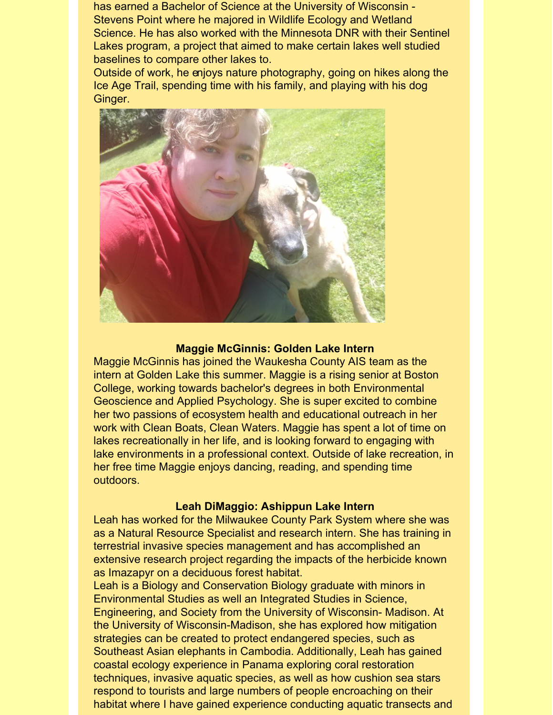has earned a Bachelor of Science at the University of Wisconsin - Stevens Point where he majored in Wildlife Ecology and Wetland Science. He has also worked with the Minnesota DNR with their Sentinel Lakes program, a project that aimed to make certain lakes well studied baselines to compare other lakes to.

Outside of work, he enjoys nature photography, going on hikes along the Ice Age Trail, spending time with his family, and playing with his dog Ginger.



#### **Maggie McGinnis: Golden Lake Intern**

Maggie McGinnis has joined the Waukesha County AIS team as the intern at Golden Lake this summer. Maggie is a rising senior at Boston College, working towards bachelor's degrees in both Environmental Geoscience and Applied Psychology. She is super excited to combine her two passions of ecosystem health and educational outreach in her work with Clean Boats, Clean Waters. Maggie has spent a lot of time on lakes recreationally in her life, and is looking forward to engaging with lake environments in a professional context. Outside of lake recreation, in her free time Maggie enjoys dancing, reading, and spending time outdoors.

#### **Leah DiMaggio: Ashippun Lake Intern**

Leah has worked for the Milwaukee County Park System where she was as a Natural Resource Specialist and research intern. She has training in terrestrial invasive species management and has accomplished an extensive research project regarding the impacts of the herbicide known as Imazapyr on a deciduous forest habitat.

Leah is a Biology and Conservation Biology graduate with minors in Environmental Studies as well an Integrated Studies in Science, Engineering, and Society from the University of Wisconsin- Madison. At the University of Wisconsin-Madison, she has explored how mitigation strategies can be created to protect endangered species, such as Southeast Asian elephants in Cambodia. Additionally, Leah has gained coastal ecology experience in Panama exploring coral restoration techniques, invasive aquatic species, as well as how cushion sea stars respond to tourists and large numbers of people encroaching on their habitat where I have gained experience conducting aquatic transects and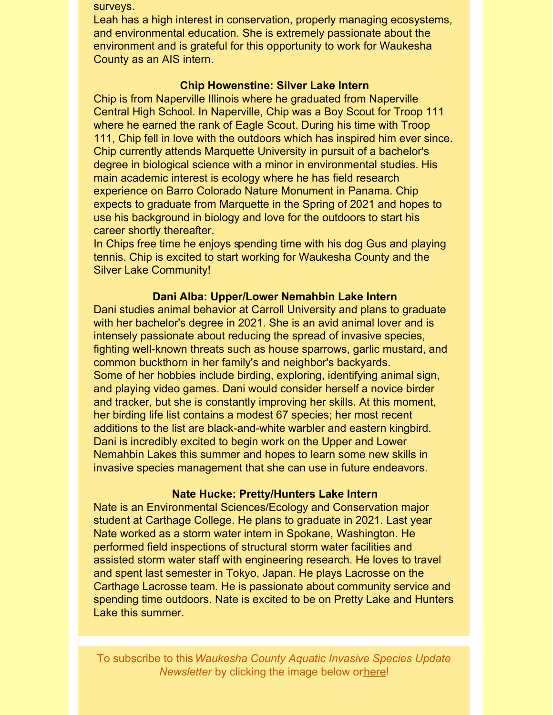surveys.

Leah has a high interest in conservation, properly managing ecosystems, and environmental education. She is extremely passionate about the environment and is grateful for this opportunity to work for Waukesha County as an AIS intern.

#### **Chip Howenstine: Silver Lake Intern**

Chip is from Naperville Illinois where he graduated from Naperville Central High School. In Naperville, Chip was a Boy Scout for Troop 111 where he earned the rank of Eagle Scout. During his time with Troop 111, Chip fell in love with the outdoors which has inspired him ever since. Chip currently attends Marquette University in pursuit of a bachelor's degree in biological science with a minor in environmental studies. His main academic interest is ecology where he has field research experience on Barro Colorado Nature Monument in Panama. Chip expects to graduate from Marquette in the Spring of 2021 and hopes to use his background in biology and love for the outdoors to start his career shortly thereafter.

In Chips free time he enjoys spending time with his dog Gus and playing tennis. Chip is excited to start working for Waukesha County and the Silver Lake Community!

#### **Dani Alba: Upper/Lower Nemahbin Lake Intern**

Dani studies animal behavior at Carroll University and plans to graduate with her bachelor's degree in 2021. She is an avid animal lover and is intensely passionate about reducing the spread of invasive species, fighting well-known threats such as house sparrows, garlic mustard, and common buckthorn in her family's and neighbor's backyards. Some of her hobbies include birding, exploring, identifying animal sign, and playing video games. Dani would consider herself a novice birder and tracker, but she is constantly improving her skills. At this moment, her birding life list contains a modest 67 species; her most recent additions to the list are black-and-white warbler and eastern kingbird. Dani is incredibly excited to begin work on the Upper and Lower Nemahbin Lakes this summer and hopes to learn some new skills in invasive species management that she can use in future endeavors.

#### **Nate Hucke: Pretty/Hunters Lake Intern**

Nate is an Environmental Sciences/Ecology and Conservation major student at Carthage College. He plans to graduate in 2021. Last year Nate worked as a storm water intern in Spokane, Washington. He performed field inspections of structural storm water facilities and assisted storm water staff with engineering research. He loves to travel and spent last semester in Tokyo, Japan. He plays Lacrosse on the Carthage Lacrosse team. He is passionate about community service and spending time outdoors. Nate is excited to be on Pretty Lake and Hunters Lake this summer.

To subscribe to this*Waukesha County Aquatic Invasive Species Update Newsletter* by clicking the image below or[here](http://visitor.r20.constantcontact.com/d.jsp?llr=kfohqmcab&p=oi&m=1102078785706&sit=mdwsaogdb&f=72c567dd-ea1f-46d9-a3b3-0487646a78a3)!